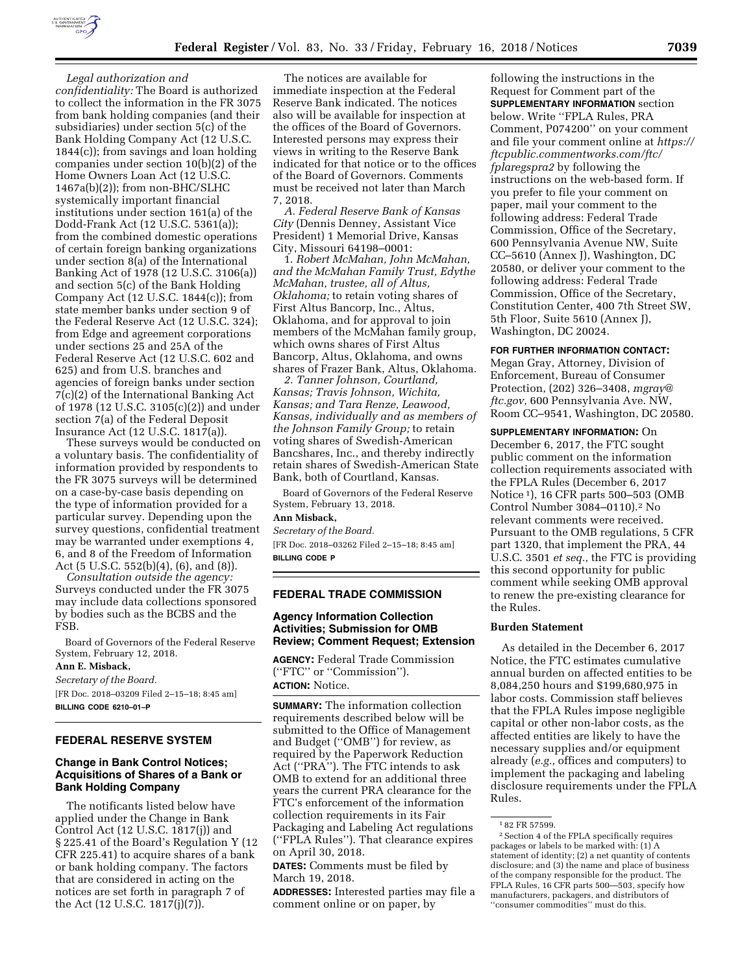

*Legal authorization and* 

*confidentiality:* The Board is authorized to collect the information in the FR 3075 from bank holding companies (and their subsidiaries) under section 5(c) of the Bank Holding Company Act (12 U.S.C. 1844(c)); from savings and loan holding companies under section 10(b)(2) of the Home Owners Loan Act (12 U.S.C. 1467a(b)(2)); from non-BHC/SLHC systemically important financial institutions under section 161(a) of the Dodd-Frank Act (12 U.S.C. 5361(a)); from the combined domestic operations of certain foreign banking organizations under section 8(a) of the International Banking Act of 1978 (12 U.S.C. 3106(a)) and section 5(c) of the Bank Holding Company Act (12 U.S.C. 1844(c)); from state member banks under section 9 of the Federal Reserve Act (12 U.S.C. 324); from Edge and agreement corporations under sections 25 and 25A of the Federal Reserve Act (12 U.S.C. 602 and 625) and from U.S. branches and agencies of foreign banks under section 7(c)(2) of the International Banking Act of 1978 (12 U.S.C. 3105(c)(2)) and under section 7(a) of the Federal Deposit Insurance Act (12 U.S.C. 1817(a)).

These surveys would be conducted on a voluntary basis. The confidentiality of information provided by respondents to the FR 3075 surveys will be determined on a case-by-case basis depending on the type of information provided for a particular survey. Depending upon the survey questions, confidential treatment may be warranted under exemptions 4, 6, and 8 of the Freedom of Information Act (5 U.S.C. 552(b)(4), (6), and (8)).

*Consultation outside the agency:*  Surveys conducted under the FR 3075 may include data collections sponsored by bodies such as the BCBS and the FSB.

Board of Governors of the Federal Reserve System, February 12, 2018.

#### **Ann E. Misback,**

*Secretary of the Board.*  [FR Doc. 2018–03209 Filed 2–15–18; 8:45 am] **BILLING CODE 6210–01–P** 

#### **FEDERAL RESERVE SYSTEM**

## **Change in Bank Control Notices; Acquisitions of Shares of a Bank or Bank Holding Company**

The notificants listed below have applied under the Change in Bank Control Act (12 U.S.C. 1817(j)) and § 225.41 of the Board's Regulation Y (12 CFR 225.41) to acquire shares of a bank or bank holding company. The factors that are considered in acting on the notices are set forth in paragraph 7 of the Act (12 U.S.C. 1817(j)(7)).

The notices are available for immediate inspection at the Federal Reserve Bank indicated. The notices also will be available for inspection at the offices of the Board of Governors. Interested persons may express their views in writing to the Reserve Bank indicated for that notice or to the offices of the Board of Governors. Comments must be received not later than March 7, 2018.

*A. Federal Reserve Bank of Kansas City* (Dennis Denney, Assistant Vice President) 1 Memorial Drive, Kansas City, Missouri 64198–0001:

1. *Robert McMahan, John McMahan, and the McMahan Family Trust, Edythe McMahan, trustee, all of Altus, Oklahoma;* to retain voting shares of First Altus Bancorp, Inc., Altus, Oklahoma, and for approval to join members of the McMahan family group, which owns shares of First Altus Bancorp, Altus, Oklahoma, and owns shares of Frazer Bank, Altus, Oklahoma.

*2. Tanner Johnson, Courtland, Kansas; Travis Johnson, Wichita, Kansas; and Tara Renze, Leawood, Kansas, individually and as members of the Johnson Family Group;* to retain voting shares of Swedish-American Bancshares, Inc., and thereby indirectly retain shares of Swedish-American State Bank, both of Courtland, Kansas.

Board of Governors of the Federal Reserve System, February 13, 2018.

# **Ann Misback,**

*Secretary of the Board.*  [FR Doc. 2018–03262 Filed 2–15–18; 8:45 am] **BILLING CODE P** 

#### **FEDERAL TRADE COMMISSION**

## **Agency Information Collection Activities; Submission for OMB Review; Comment Request; Extension**

**AGENCY:** Federal Trade Commission (''FTC'' or ''Commission''). **ACTION:** Notice.

**SUMMARY:** The information collection requirements described below will be submitted to the Office of Management and Budget (''OMB'') for review, as required by the Paperwork Reduction Act (''PRA''). The FTC intends to ask OMB to extend for an additional three years the current PRA clearance for the FTC's enforcement of the information collection requirements in its Fair Packaging and Labeling Act regulations (''FPLA Rules''). That clearance expires on April 30, 2018.

**DATES:** Comments must be filed by March 19, 2018.

**ADDRESSES:** Interested parties may file a comment online or on paper, by

following the instructions in the Request for Comment part of the **SUPPLEMENTARY INFORMATION** section below. Write ''FPLA Rules, PRA Comment, P074200'' on your comment and file your comment online at *[https://](https://ftcpublic.commentworks.com/ftc/fplaregspra2)  [ftcpublic.commentworks.com/ftc/](https://ftcpublic.commentworks.com/ftc/fplaregspra2)  [fplaregspra2](https://ftcpublic.commentworks.com/ftc/fplaregspra2)* by following the instructions on the web-based form. If you prefer to file your comment on paper, mail your comment to the following address: Federal Trade Commission, Office of the Secretary, 600 Pennsylvania Avenue NW, Suite CC–5610 (Annex J), Washington, DC 20580, or deliver your comment to the following address: Federal Trade Commission, Office of the Secretary, Constitution Center, 400 7th Street SW, 5th Floor, Suite 5610 (Annex J), Washington, DC 20024.

#### **FOR FURTHER INFORMATION CONTACT:**

Megan Gray, Attorney, Division of Enforcement, Bureau of Consumer Protection, (202) 326–3408, *[mgray@](mailto:mgray@ftc.gov) [ftc.gov,](mailto:mgray@ftc.gov)* 600 Pennsylvania Ave. NW, Room CC–9541, Washington, DC 20580.

**SUPPLEMENTARY INFORMATION:** On December 6, 2017, the FTC sought public comment on the information collection requirements associated with the FPLA Rules (December 6, 2017 Notice 1), 16 CFR parts 500–503 (OMB Control Number 3084–0110).2 No relevant comments were received. Pursuant to the OMB regulations, 5 CFR part 1320, that implement the PRA, 44 U.S.C. 3501 *et seq.,* the FTC is providing this second opportunity for public comment while seeking OMB approval to renew the pre-existing clearance for the Rules.

### **Burden Statement**

As detailed in the December 6, 2017 Notice, the FTC estimates cumulative annual burden on affected entities to be 8,084,250 hours and \$199,680,975 in labor costs. Commission staff believes that the FPLA Rules impose negligible capital or other non-labor costs, as the affected entities are likely to have the necessary supplies and/or equipment already (*e.g.,* offices and computers) to implement the packaging and labeling disclosure requirements under the FPLA Rules.

<sup>1</sup> 82 FR 57599.

<sup>2</sup>Section 4 of the FPLA specifically requires packages or labels to be marked with: (1) A statement of identity; (2) a net quantity of contents disclosure; and (3) the name and place of business of the company responsible for the product. The FPLA Rules, 16 CFR parts 500—503, specify how manufacturers, packagers, and distributors of ''consumer commodities'' must do this.